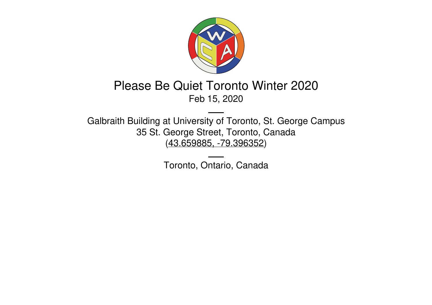

# Please Be Quiet Toronto Winter 2020 Feb 15, 2020

Galbraith Building at University of Toronto, St. George Campus 35 St. George Street, Toronto, Canada (43.659885, [-79.396352](https://www.google.com/maps/place/43.659885,-79.396352))

Toronto, Ontario, Canada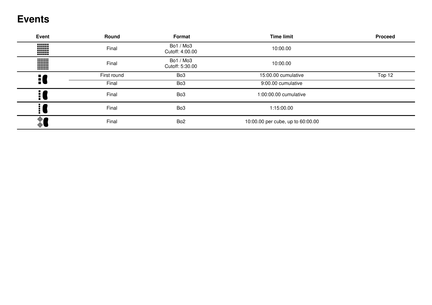## **Events**

| Event         | Round       | Format                       | <b>Time limit</b>                 | <b>Proceed</b> |
|---------------|-------------|------------------------------|-----------------------------------|----------------|
| W             | Final       | Bo1 / Mo3<br>Cutoff: 4:00.00 | 10:00.00                          |                |
| W             | Final       | Bo1 / Mo3<br>Cutoff: 5:30.00 | 10:00.00                          |                |
|               | First round | Bo <sub>3</sub>              | 15:00.00 cumulative               | Top 12         |
| 10            | Final       | Bo <sub>3</sub>              | 9:00.00 cumulative                |                |
| : (           | Final       | Bo <sub>3</sub>              | 1:00:00.00 cumulative             |                |
| ال            | Final       | Bo <sub>3</sub>              | 1:15:00.00                        |                |
| $\frac{1}{2}$ | Final       | Bo <sub>2</sub>              | 10:00.00 per cube, up to 60:00.00 |                |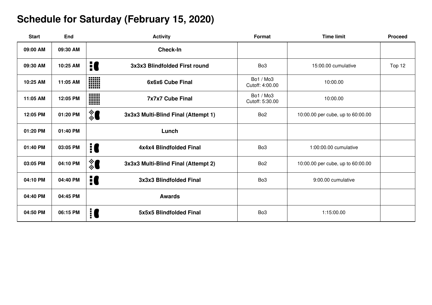# **Schedule for Saturday (February 15, 2020)**

| <b>Start</b> | End      | <b>Activity</b>                          | Format                       | <b>Time limit</b>                 | <b>Proceed</b> |
|--------------|----------|------------------------------------------|------------------------------|-----------------------------------|----------------|
| 09:00 AM     | 09:30 AM | <b>Check-In</b>                          |                              |                                   |                |
| 09:30 AM     | 10:25 AM | 10<br>3x3x3 Blindfolded First round      | Bo <sub>3</sub>              | 15:00.00 cumulative               | Top 12         |
| 10:25 AM     | 11:05 AM | WW<br>6x6x6 Cube Final<br>mm             | Bo1 / Mo3<br>Cutoff: 4:00.00 | 10:00.00                          |                |
| 11:05 AM     | 12:05 PM | W<br><b>7x7x7 Cube Final</b>             | Bo1 / Mo3<br>Cutoff: 5:30.00 | 10:00.00                          |                |
| 12:05 PM     | 01:20 PM | ै<br>3x3x3 Multi-Blind Final (Attempt 1) | Bo <sub>2</sub>              | 10:00.00 per cube, up to 60:00.00 |                |
| 01:20 PM     | 01:40 PM | Lunch                                    |                              |                                   |                |
| 01:40 PM     | 03:05 PM | 10<br>4x4x4 Blindfolded Final            | Bo <sub>3</sub>              | 1:00:00.00 cumulative             |                |
| 03:05 PM     | 04:10 PM | ै<br>3x3x3 Multi-Blind Final (Attempt 2) | Bo <sub>2</sub>              | 10:00.00 per cube, up to 60:00.00 |                |
| 04:10 PM     | 04:40 PM | 10<br>3x3x3 Blindfolded Final            | Bo <sub>3</sub>              | 9:00.00 cumulative                |                |
| 04:40 PM     | 04:45 PM | <b>Awards</b>                            |                              |                                   |                |
| 04:50 PM     | 06:15 PM | i C<br>5x5x5 Blindfolded Final           | Bo <sub>3</sub>              | 1:15:00.00                        |                |